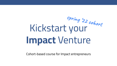# Kickstart your **Impact** Venture **spring '22 cohort**

Cohort-based course for Impact entrepreneurs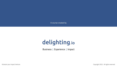A course created by

# delighting.io

Business | Experience | Impact

Kickstart your Impact Venture **Copyright 2022.** All rights reserved.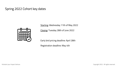# Spring 2022 Cohort key dates



Starting: Wednesday 11th of May 2022

Closing: Tuesday 28th of June 2022

Early bird pricing deadline: April 28th

Registration deadline: May 4th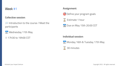#### **Collective session**:

- **Introduction to the course / Meet the** participants
- $\frac{3}{17}$  Wednesday 11th May
- ⌚ 17h30 to 19h00 CET

#### **Assignment**:



 $\Sigma$  Estimate 1 hour

Due on May 15th 20:00 CET

#### **Individual session**:

 $\frac{1}{17}$  Monday 16th & Tuesday 17th May

30 minutes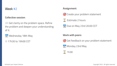#### **Collective session**:

**Get clarity on the problem space. Refine** the problem and deepen your understanding of it.

 $\frac{1}{17}$  Wednesday 18th May

⌚ 17h30 to 19h00 CET

#### **Assignment**:





Due on May 23rd 20:00 CET

#### **Work with peers**:



 $\frac{J_{\text{ul}}}{17}$  Monday 23rd May

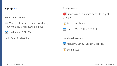#### **Collective session**:

- **Wission statement, theory of change...** how to define and measure Impact
- $\frac{3}{17}$  Wednesday 25th May
- ⌚ 17h30 to 19h00 CET

#### **Assignment**:

- G Create a mission statement / theory of change
- Estimate 2 hours
- **17** Due on May 29th 20:00 CET

#### **Individual session**:

17 Monday 30th & Tuesday 31st May

# 30 minutes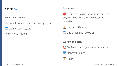#### **Collective session**:

- **Empathize with your Customer persona**
- $\frac{1}{17}$  Wednesday 1st June
- ⌚ 17h30 to 19h00 CET

#### **Assignment**:

- O Define your Value Proposition centered on Jobs to be Done through customer interviews
- $\overline{X}$  Estimate 3 hours
- **Due on June 6th 20:00 CET**

#### **Work with peers**:

- 
- G Get feedback on your value proposition
- $\frac{J_{\text{diff}}}{17}$  Monday 6th June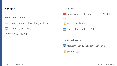#### **Collective session**:

- **WEXPLORE BUSINESS Modelling for Impact**
- $\frac{J_{\text{ul}}}{17}$  Wednesday 8th June
- ⌚ 17h30 to 19h00 CET

#### **Assignment**:

- G Create and iterate your Business Model Canvas
- Estimate 3 hours

**Due on June 12th 20:00 CET** 

**Individual session**:



 $\frac{30}{17}$  Monday 13th & Tuesday 14th June

# 30 minutes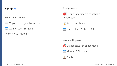#### **Collective session**:

- **Wap and test your hypotheses**
- $\frac{1}{17}$  Wednesday 15th June
- ⌚ 17h30 to 19h00 CET

#### **Assignment**:

O Define experiments to validate hypotheses



17 Due on June 20th 20:00 CET

#### **Work with peers**:



 $\frac{J_{\text{JUW}}}{17}$  Monday 20th June

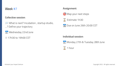#### **Collective session**:

- **What is next? Incubation, startup studio,** …? Define your trajectory
- $\frac{3}{17}$  Wednesday 22nd June
- ⌚ 17h30 to 19h00 CET

#### **Assignment**:





Due on June 26th 20:00 CET

#### **Individual session**:

 $\frac{1}{17}$  Monday 27th & Tuesday 28th June

1 hour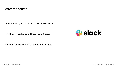# After the course

The community hosted on Slack will remain active:

- Continue to **exchange with your cohort peers**.



- Benefit from **weekly office hours** for 3 months.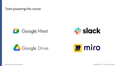Tools powering the course









Kickstart your Impact Venture Copyright 2022. All rights reserved.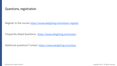# Questions, registration

Register to the course: <https://www.delighting.io/kickstart-register>

Frequently Asked Questions: <https://www.delighting.io/kickstart>

Additional questions? Contact:<https://www.delighting.io/contact>

Kickstart your Impact Venture Copyright 2022. All rights reserved.